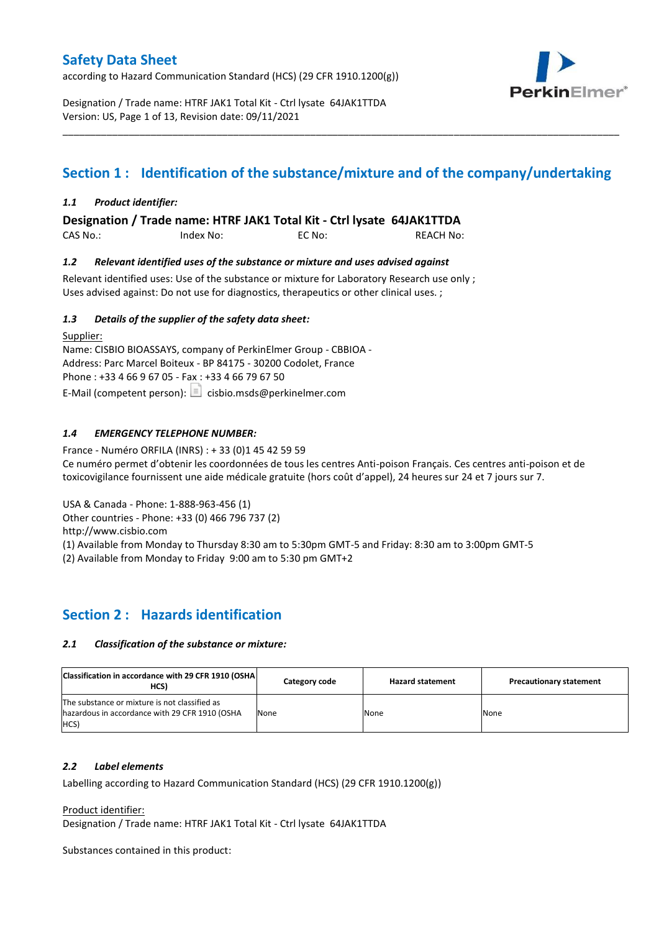according to Hazard Communication Standard (HCS) (29 CFR 1910.1200(g))



Designation / Trade name: HTRF JAK1 Total Kit - Ctrl lysate 64JAK1TTDA Version: US, Page 1 of 13, Revision date: 09/11/2021

# **Section 1 : Identification of the substance/mixture and of the company/undertaking**

\_\_\_\_\_\_\_\_\_\_\_\_\_\_\_\_\_\_\_\_\_\_\_\_\_\_\_\_\_\_\_\_\_\_\_\_\_\_\_\_\_\_\_\_\_\_\_\_\_\_\_\_\_\_\_\_\_\_\_\_\_\_\_\_\_\_\_\_\_\_\_\_\_\_\_\_\_\_\_\_\_\_\_\_\_\_\_\_\_\_\_\_\_\_\_\_\_\_\_\_\_

### *1.1 Product identifier:*

**Designation / Trade name: HTRF JAK1 Total Kit - Ctrl lysate 64JAK1TTDA** 

CAS No.: Index No: EC No: REACH No:

### *1.2 Relevant identified uses of the substance or mixture and uses advised against*

Relevant identified uses: Use of the substance or mixture for Laboratory Research use only ; Uses advised against: Do not use for diagnostics, therapeutics or other clinical uses. ;

### *1.3 Details of the supplier of the safety data sheet:*

Supplier: Name: CISBIO BIOASSAYS, company of PerkinElmer Group - CBBIOA - Address: Parc Marcel Boiteux - BP 84175 - 30200 Codolet, France Phone : +33 4 66 9 67 05 - Fax : +33 4 66 79 67 50 E-Mail (competent person):  $\Box$  cisbio.msds@perkinelmer.com

### *1.4 EMERGENCY TELEPHONE NUMBER:*

France - Numéro ORFILA (INRS) : + 33 (0)1 45 42 59 59 Ce numéro permet d'obtenir les coordonnées de tous les centres Anti-poison Français. Ces centres anti-poison et de toxicovigilance fournissent une aide médicale gratuite (hors coût d'appel), 24 heures sur 24 et 7 jours sur 7.

USA & Canada - Phone: 1-888-963-456 (1)

Other countries - Phone: +33 (0) 466 796 737 (2)

http://www.cisbio.com

(1) Available from Monday to Thursday 8:30 am to 5:30pm GMT-5 and Friday: 8:30 am to 3:00pm GMT-5

(2) Available from Monday to Friday 9:00 am to 5:30 pm GMT+2

# **Section 2 : Hazards identification**

### *2.1 Classification of the substance or mixture:*

| Classification in accordance with 29 CFR 1910 (OSHA)<br>HCS)                                            | Category code | <b>Hazard statement</b> | <b>Precautionary statement</b> |
|---------------------------------------------------------------------------------------------------------|---------------|-------------------------|--------------------------------|
| The substance or mixture is not classified as<br>hazardous in accordance with 29 CFR 1910 (OSHA<br>HCS) | None          | None                    | None                           |

### *2.2 Label elements*

Labelling according to Hazard Communication Standard (HCS) (29 CFR 1910.1200(g))

Product identifier:

Designation / Trade name: HTRF JAK1 Total Kit - Ctrl lysate 64JAK1TTDA

Substances contained in this product: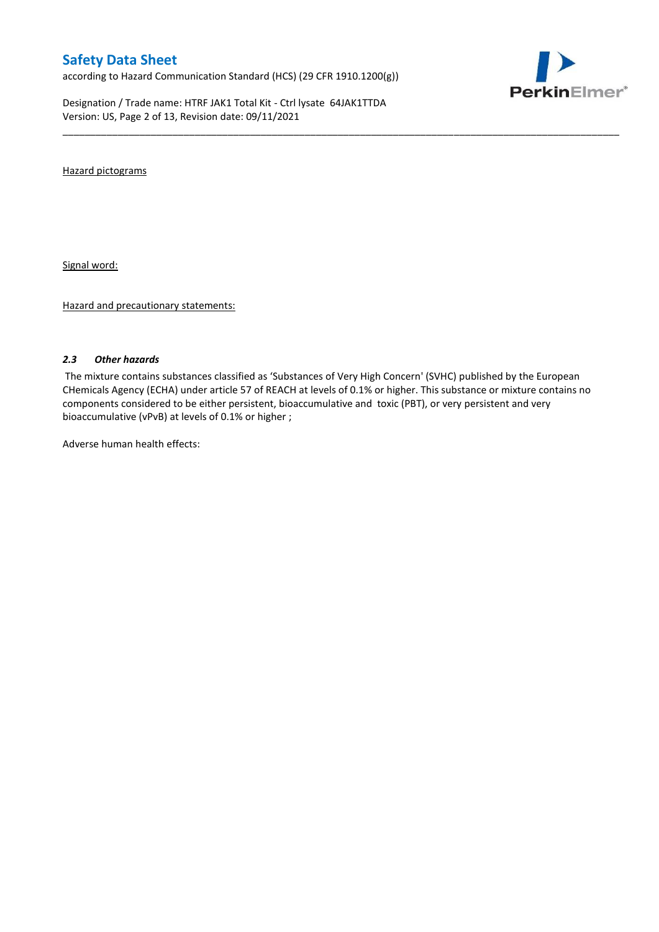according to Hazard Communication Standard (HCS) (29 CFR 1910.1200(g))

Designation / Trade name: HTRF JAK1 Total Kit - Ctrl lysate 64JAK1TTDA Version: US, Page 2 of 13, Revision date: 09/11/2021



Hazard pictograms

Signal word:

Hazard and precautionary statements:

### *2.3 Other hazards*

The mixture contains substances classified as 'Substances of Very High Concern' (SVHC) published by the European CHemicals Agency (ECHA) under article 57 of REACH at levels of 0.1% or higher. This substance or mixture contains no components considered to be either persistent, bioaccumulative and toxic (PBT), or very persistent and very bioaccumulative (vPvB) at levels of 0.1% or higher ;

\_\_\_\_\_\_\_\_\_\_\_\_\_\_\_\_\_\_\_\_\_\_\_\_\_\_\_\_\_\_\_\_\_\_\_\_\_\_\_\_\_\_\_\_\_\_\_\_\_\_\_\_\_\_\_\_\_\_\_\_\_\_\_\_\_\_\_\_\_\_\_\_\_\_\_\_\_\_\_\_\_\_\_\_\_\_\_\_\_\_\_\_\_\_\_\_\_\_\_\_\_

Adverse human health effects: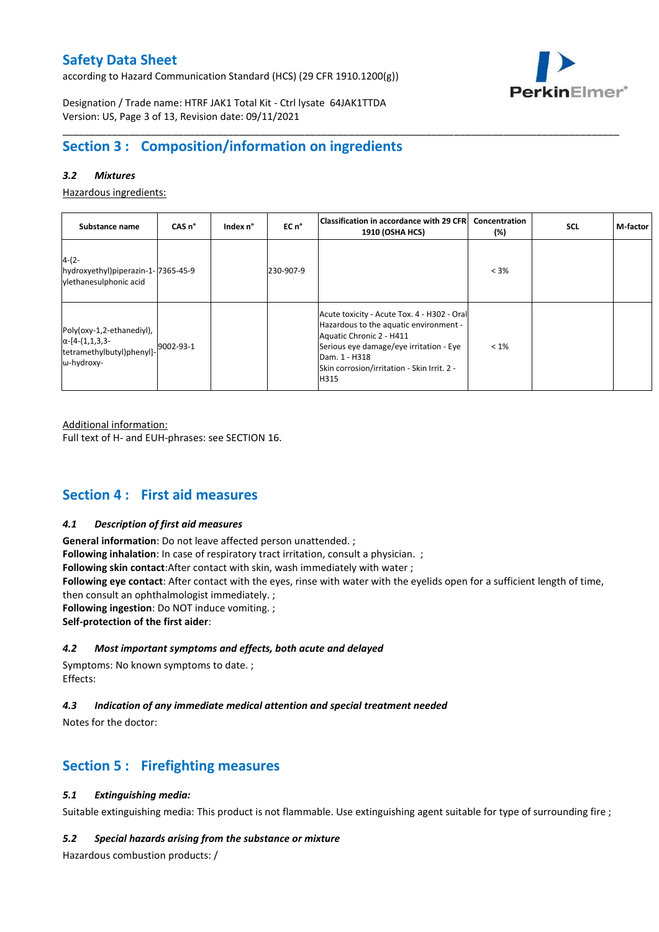according to Hazard Communication Standard (HCS) (29 CFR 1910.1200(g))



Designation / Trade name: HTRF JAK1 Total Kit - Ctrl lysate 64JAK1TTDA Version: US, Page 3 of 13, Revision date: 09/11/2021

# **Section 3 : Composition/information on ingredients**

### *3.2 Mixtures*

Hazardous ingredients:

| Substance name                                                                                 | CAS <sub>n</sub> ° | Index n° | EC n°     | Classification in accordance with 29 CFR <br>1910 (OSHA HCS)                                                                                                                                                                         | Concentration<br>(%) | <b>SCL</b> | M-factor |
|------------------------------------------------------------------------------------------------|--------------------|----------|-----------|--------------------------------------------------------------------------------------------------------------------------------------------------------------------------------------------------------------------------------------|----------------------|------------|----------|
| $4-(2-$<br>hydroxyethyl)piperazin-1-7365-45-9<br>ylethanesulphonic acid                        |                    |          | 230-907-9 |                                                                                                                                                                                                                                      | $< 3\%$              |            |          |
| Poly(oxy-1,2-ethanediyl),<br>$\alpha$ -[4-(1,1,3,3-<br>tetramethylbutyl)phenyl]-<br>ω-hydroxy- | 9002-93-1          |          |           | Acute toxicity - Acute Tox. 4 - H302 - Oral<br>Hazardous to the aquatic environment -<br>Aquatic Chronic 2 - H411<br>Serious eye damage/eye irritation - Eye<br>Dam. 1 - H318<br>Skin corrosion/irritation - Skin Irrit. 2 -<br>H315 | $< 1\%$              |            |          |

\_\_\_\_\_\_\_\_\_\_\_\_\_\_\_\_\_\_\_\_\_\_\_\_\_\_\_\_\_\_\_\_\_\_\_\_\_\_\_\_\_\_\_\_\_\_\_\_\_\_\_\_\_\_\_\_\_\_\_\_\_\_\_\_\_\_\_\_\_\_\_\_\_\_\_\_\_\_\_\_\_\_\_\_\_\_\_\_\_\_\_\_\_\_\_\_\_\_\_\_\_

Additional information:

Full text of H- and EUH-phrases: see SECTION 16.

# **Section 4 : First aid measures**

### *4.1 Description of first aid measures*

**General information**: Do not leave affected person unattended. ; **Following inhalation**: In case of respiratory tract irritation, consult a physician. ; **Following skin contact**:After contact with skin, wash immediately with water ; **Following eye contact**: After contact with the eyes, rinse with water with the eyelids open for a sufficient length of time, then consult an ophthalmologist immediately. ; **Following ingestion**: Do NOT induce vomiting. ; **Self-protection of the first aider**:

### *4.2 Most important symptoms and effects, both acute and delayed*

Symptoms: No known symptoms to date. ; Effects:

### *4.3 Indication of any immediate medical attention and special treatment needed*

Notes for the doctor:

# **Section 5 : Firefighting measures**

### *5.1 Extinguishing media:*

Suitable extinguishing media: This product is not flammable. Use extinguishing agent suitable for type of surrounding fire ;

### *5.2 Special hazards arising from the substance or mixture*

Hazardous combustion products: /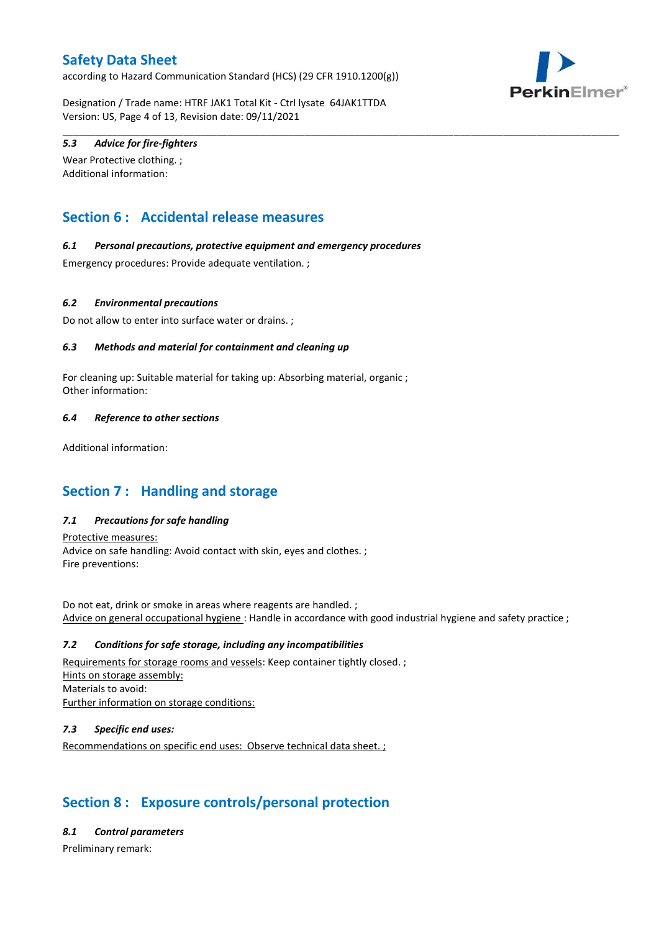according to Hazard Communication Standard (HCS) (29 CFR 1910.1200(g))



Designation / Trade name: HTRF JAK1 Total Kit - Ctrl lysate 64JAK1TTDA Version: US, Page 4 of 13, Revision date: 09/11/2021

\_\_\_\_\_\_\_\_\_\_\_\_\_\_\_\_\_\_\_\_\_\_\_\_\_\_\_\_\_\_\_\_\_\_\_\_\_\_\_\_\_\_\_\_\_\_\_\_\_\_\_\_\_\_\_\_\_\_\_\_\_\_\_\_\_\_\_\_\_\_\_\_\_\_\_\_\_\_\_\_\_\_\_\_\_\_\_\_\_\_\_\_\_\_\_\_\_\_\_\_\_

### *5.3 Advice for fire-fighters*

Wear Protective clothing. ; Additional information:

# **Section 6 : Accidental release measures**

### *6.1 Personal precautions, protective equipment and emergency procedures*

Emergency procedures: Provide adequate ventilation. ;

### *6.2 Environmental precautions*

Do not allow to enter into surface water or drains. ;

### *6.3 Methods and material for containment and cleaning up*

For cleaning up: Suitable material for taking up: Absorbing material, organic ; Other information:

### *6.4 Reference to other sections*

Additional information:

# **Section 7 : Handling and storage**

### *7.1 Precautions for safe handling*

Protective measures: Advice on safe handling: Avoid contact with skin, eyes and clothes. ; Fire preventions:

Do not eat, drink or smoke in areas where reagents are handled. ; Advice on general occupational hygiene : Handle in accordance with good industrial hygiene and safety practice ;

### *7.2 Conditions for safe storage, including any incompatibilities*

Requirements for storage rooms and vessels: Keep container tightly closed. ; Hints on storage assembly: Materials to avoid: Further information on storage conditions:

### *7.3 Specific end uses:*

Recommendations on specific end uses: Observe technical data sheet. ;

# **Section 8 : Exposure controls/personal protection**

### *8.1 Control parameters*

Preliminary remark: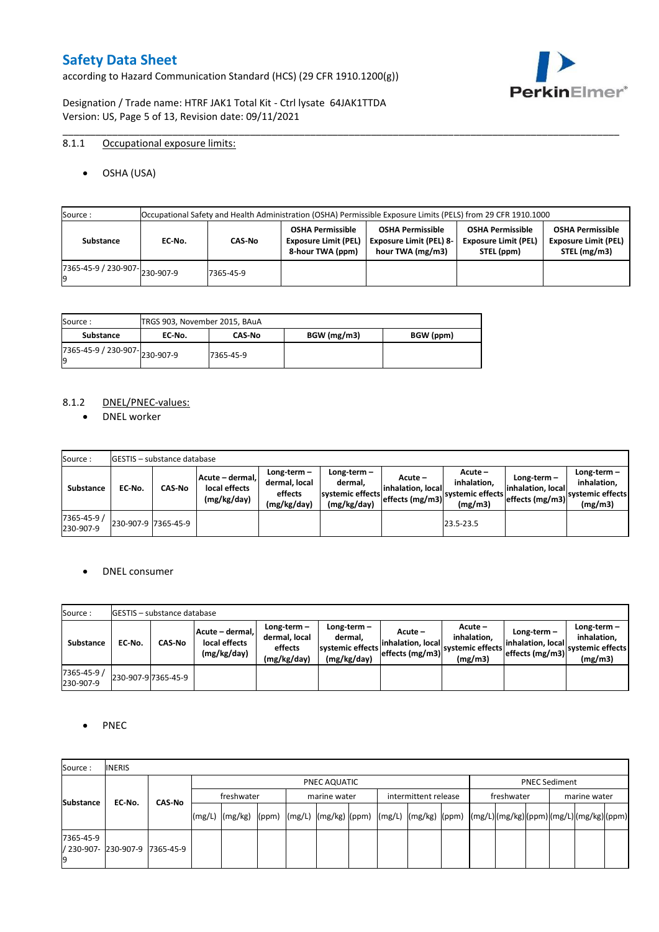according to Hazard Communication Standard (HCS) (29 CFR 1910.1200(g))



Designation / Trade name: HTRF JAK1 Total Kit - Ctrl lysate 64JAK1TTDA Version: US, Page 5 of 13, Revision date: 09/11/2021

### 8.1.1 Occupational exposure limits:

OSHA (USA)

| Source : |           |                                      |           |                                                                            | Occupational Safety and Health Administration (OSHA) Permissible Exposure Limits (PELS) from 29 CFR 1910.1000 |                                                                      |                                                                        |
|----------|-----------|--------------------------------------|-----------|----------------------------------------------------------------------------|---------------------------------------------------------------------------------------------------------------|----------------------------------------------------------------------|------------------------------------------------------------------------|
|          | Substance | EC No.                               | CAS-No    | <b>OSHA Permissible</b><br><b>Exposure Limit (PEL)</b><br>8-hour TWA (ppm) | <b>OSHA Permissible</b><br><b>Exposure Limit (PEL) 8-</b><br>hour TWA (mg/m3)                                 | <b>OSHA Permissible</b><br><b>Exposure Limit (PEL)</b><br>STEL (ppm) | <b>OSHA Permissible</b><br><b>Exposure Limit (PEL)</b><br>STEL (mg/m3) |
|          |           | $(7365-45-9) / 230-907$ $ 230-907-9$ | 7365-45-9 |                                                                            |                                                                                                               |                                                                      |                                                                        |

\_\_\_\_\_\_\_\_\_\_\_\_\_\_\_\_\_\_\_\_\_\_\_\_\_\_\_\_\_\_\_\_\_\_\_\_\_\_\_\_\_\_\_\_\_\_\_\_\_\_\_\_\_\_\_\_\_\_\_\_\_\_\_\_\_\_\_\_\_\_\_\_\_\_\_\_\_\_\_\_\_\_\_\_\_\_\_\_\_\_\_\_\_\_\_\_\_\_\_\_\_

| Source:                                  | TRGS 903, November 2015, BAuA |               |             |           |
|------------------------------------------|-------------------------------|---------------|-------------|-----------|
| Substance                                | EC No.                        | <b>CAS No</b> | BGW (mg/m3) | BGW (ppm) |
| .<br>7365-45-9 / 230-907-230-907-9<br>19 |                               | 7365-45-9     |             |           |

### 8.1.2 DNEL/PNEC-values:

• DNEL worker

| Source:                  |                     | <b>IGESTIS - substance database</b> |                                                 |                                                          |                                                          |                                                   |                                                       |                                                         |                                                             |
|--------------------------|---------------------|-------------------------------------|-------------------------------------------------|----------------------------------------------------------|----------------------------------------------------------|---------------------------------------------------|-------------------------------------------------------|---------------------------------------------------------|-------------------------------------------------------------|
| Substance                | EC No.              | <b>CAS-No</b>                       | Acute – dermal,<br>local effects<br>(mg/kg/day) | Long-term $-$<br>dermal, local<br>effects<br>(mg/kg/day) | Long-term-<br>dermal,<br>systemic effects<br>(mg/kg/day) | Acute –<br>linhalation. locall<br>effects (mg/m3) | Acute -<br>inhalation.<br>systemic effects<br>(mg/m3) | Long-term $-$<br>linhalation. local<br>leffects (mg/m3) | $Long-term -$<br>inhalation.<br>svstemic effects<br>(mg/m3) |
| 7365-45-9 /<br>230-907-9 | 230-907-9 7365-45-9 |                                     |                                                 |                                                          |                                                          |                                                   | 23.5-23.5                                             |                                                         |                                                             |

### DNEL consumer

| Source:                  |        | <b>IGESTIS – substance database</b> |                                                 |                                                          |                                                             |                                                        |                                                       |                                                        |                                                             |
|--------------------------|--------|-------------------------------------|-------------------------------------------------|----------------------------------------------------------|-------------------------------------------------------------|--------------------------------------------------------|-------------------------------------------------------|--------------------------------------------------------|-------------------------------------------------------------|
| Substance                | EC No. | CAS-No                              | Acute - dermal,<br>local effects<br>(mg/kg/day) | Long-term $-$<br>dermal, local<br>effects<br>(mg/kg/day) | $Long-term -$<br>dermal.<br>systemic effects<br>(mg/kg/day) | Acute –<br>linhalation. local<br>$effects$ (mg/m3) $ $ | Acute -<br>inhalation.<br>systemic effects<br>(mg/m3) | $Long-term -$<br>linhalation. local<br>effects (mg/m3) | Long-term $-$<br>inhalation.<br>systemic effects<br>(mg/m3) |
| 7365-45-9 /<br>230-907-9 |        | 230-907-9 7365-45-9                 |                                                 |                                                          |                                                             |                                                        |                                                       |                                                        |                                                             |

### • PNEC

| Source:                                 | <b>INERIS</b> |               |            |                                                                                                                                                                                                                                                                                                                                                                                                                                                                                               |  |              |  |                      |  |            |  |                      |  |  |  |  |  |
|-----------------------------------------|---------------|---------------|------------|-----------------------------------------------------------------------------------------------------------------------------------------------------------------------------------------------------------------------------------------------------------------------------------------------------------------------------------------------------------------------------------------------------------------------------------------------------------------------------------------------|--|--------------|--|----------------------|--|------------|--|----------------------|--|--|--|--|--|
|                                         |               |               |            | PNEC AQUATIC                                                                                                                                                                                                                                                                                                                                                                                                                                                                                  |  |              |  |                      |  |            |  | <b>PNEC Sediment</b> |  |  |  |  |  |
|                                         |               |               | freshwater |                                                                                                                                                                                                                                                                                                                                                                                                                                                                                               |  | marine water |  | intermittent release |  | freshwater |  | marine water         |  |  |  |  |  |
| <b>Substance</b>                        | EC-No.        | <b>CAS No</b> |            | $\lceil (mg/L) \rceil \cdot (mg/kg) \cdot (ppm) \cdot (mg/L) \cdot (mg/kg) \cdot (ppm) \cdot (mg/L) \cdot (mg/kg) \cdot (ppm) \cdot (mg/L) \cdot (mg/L) \cdot (mg/L) \cdot (mg/L) \cdot (mg/L) \cdot (mg/L) \cdot (mg/L) \cdot (mg/L) \cdot (mg/L) \cdot (mg/L) \cdot (mg/L) \cdot (mg/L) \cdot (mg/L) \cdot (mg/L) \cdot (mg/L) \cdot (mg/L) \cdot (gm/L) \cdot (gm/L) \cdot (gm/L) \cdot (mg/L) \cdot (mg/L) \cdot (gm/L) \cdot (gm/L) \cdot (gm/L) \cdot (gm/L) \cdot (gm/L) \cdot (gm/L)$ |  |              |  |                      |  |            |  |                      |  |  |  |  |  |
| 7365-45-9<br>/ 230-907- 230-907-9<br>19 |               | 7365-45-9     |            |                                                                                                                                                                                                                                                                                                                                                                                                                                                                                               |  |              |  |                      |  |            |  |                      |  |  |  |  |  |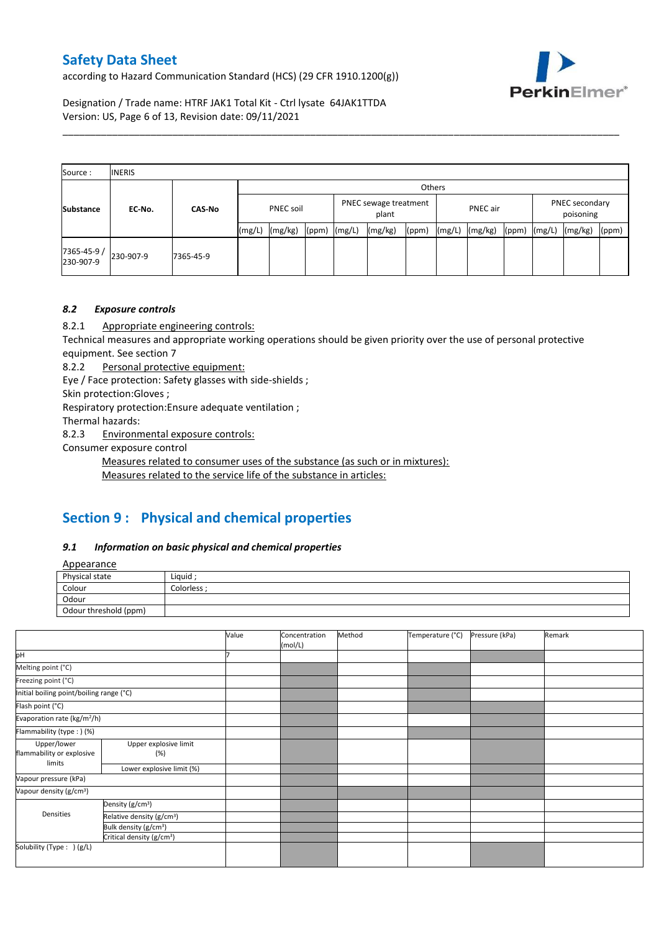according to Hazard Communication Standard (HCS) (29 CFR 1910.1200(g))



Designation / Trade name: HTRF JAK1 Total Kit - Ctrl lysate 64JAK1TTDA Version: US, Page 6 of 13, Revision date: 09/11/2021

| Source:                  | <b>INERIS</b> |               |        |           |        |        |         |                                   |        |         |       |        |                             |       |
|--------------------------|---------------|---------------|--------|-----------|--------|--------|---------|-----------------------------------|--------|---------|-------|--------|-----------------------------|-------|
|                          |               |               |        |           | Others |        |         |                                   |        |         |       |        |                             |       |
| <b>Substance</b>         | EC-No.        | <b>CAS-No</b> |        | PNEC soil |        |        | plant   | PNEC sewage treatment<br>PNEC air |        |         |       |        | PNEC secondary<br>poisoning |       |
|                          |               |               | (mg/L) | (mg/kg)   | (ppm)  | (mg/L) | (mg/kg) | (ppm)                             | (mg/L) | (mg/kg) | (ppm) | (mg/L) | (mg/kg)                     | (ppm) |
| 7365-45-9 /<br>230-907-9 | 230-907-9     | 7365-45-9     |        |           |        |        |         |                                   |        |         |       |        |                             |       |

\_\_\_\_\_\_\_\_\_\_\_\_\_\_\_\_\_\_\_\_\_\_\_\_\_\_\_\_\_\_\_\_\_\_\_\_\_\_\_\_\_\_\_\_\_\_\_\_\_\_\_\_\_\_\_\_\_\_\_\_\_\_\_\_\_\_\_\_\_\_\_\_\_\_\_\_\_\_\_\_\_\_\_\_\_\_\_\_\_\_\_\_\_\_\_\_\_\_\_\_\_

### *8.2 Exposure controls*

8.2.1 Appropriate engineering controls:

Technical measures and appropriate working operations should be given priority over the use of personal protective equipment. See section 7

8.2.2 Personal protective equipment:

Eye / Face protection: Safety glasses with side-shields ;

Skin protection:Gloves ;

Respiratory protection:Ensure adequate ventilation ;

Thermal hazards:

8.2.3 Environmental exposure controls:

Consumer exposure control

Measures related to consumer uses of the substance (as such or in mixtures):

Measures related to the service life of the substance in articles:

# **Section 9 : Physical and chemical properties**

### *9.1 Information on basic physical and chemical properties*

**Annearance** 

| <b>Appearance</b>     |             |
|-----------------------|-------------|
| Physical state        | Liquid      |
| Colour                | Colorless · |
| Odour                 |             |
| Odour threshold (ppm) |             |

|                                          |                                       | Value | Concentration<br>(mol/L) | Method | Temperature (°C) | Pressure (kPa) | Remark |
|------------------------------------------|---------------------------------------|-------|--------------------------|--------|------------------|----------------|--------|
| pH                                       |                                       |       |                          |        |                  |                |        |
| Melting point (°C)                       |                                       |       |                          |        |                  |                |        |
| Freezing point (°C)                      |                                       |       |                          |        |                  |                |        |
| Initial boiling point/boiling range (°C) |                                       |       |                          |        |                  |                |        |
| Flash point (°C)                         |                                       |       |                          |        |                  |                |        |
| Evaporation rate (kg/m <sup>2</sup> /h)  |                                       |       |                          |        |                  |                |        |
| Flammability (type:) (%)                 |                                       |       |                          |        |                  |                |        |
| Upper/lower<br>flammability or explosive | Upper explosive limit<br>(%)          |       |                          |        |                  |                |        |
| limits                                   | Lower explosive limit (%)             |       |                          |        |                  |                |        |
| Vapour pressure (kPa)                    |                                       |       |                          |        |                  |                |        |
| Vapour density (g/cm <sup>3</sup> )      |                                       |       |                          |        |                  |                |        |
|                                          | Density (g/cm <sup>3</sup> )          |       |                          |        |                  |                |        |
| Densities                                | Relative density (g/cm <sup>3</sup> ) |       |                          |        |                  |                |        |
|                                          | Bulk density (g/cm <sup>3</sup> )     |       |                          |        |                  |                |        |
|                                          | Critical density (g/cm <sup>3</sup> ) |       |                          |        |                  |                |        |
| Solubility (Type: ) (g/L)                |                                       |       |                          |        |                  |                |        |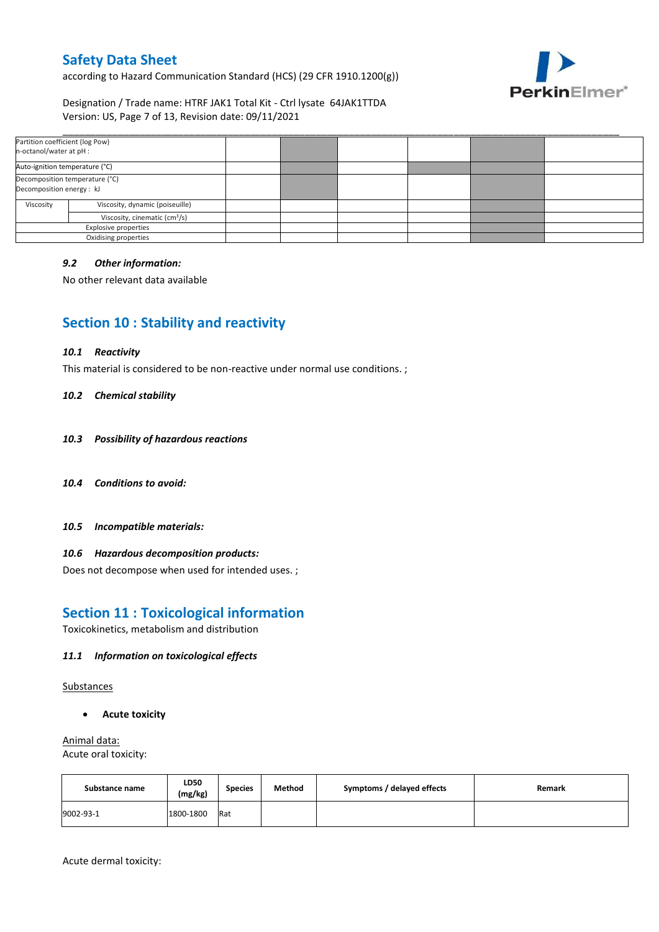according to Hazard Communication Standard (HCS) (29 CFR 1910.1200(g))



Designation / Trade name: HTRF JAK1 Total Kit - Ctrl lysate 64JAK1TTDA Version: US, Page 7 of 13, Revision date: 09/11/2021

| Partition coefficient (log Pow)<br>n-octanol/water at pH :  |                                 |  |  |  |
|-------------------------------------------------------------|---------------------------------|--|--|--|
| Auto-ignition temperature (°C)                              |                                 |  |  |  |
| Decomposition temperature (°C)<br>Decomposition energy : kJ |                                 |  |  |  |
| Viscosity                                                   | Viscosity, dynamic (poiseuille) |  |  |  |
| Viscosity, cinematic (cm <sup>3</sup> /s)                   |                                 |  |  |  |
| Explosive properties                                        |                                 |  |  |  |
|                                                             | Oxidising properties            |  |  |  |

### *9.2 Other information:*

No other relevant data available

# **Section 10 : Stability and reactivity**

#### *10.1 Reactivity*

This material is considered to be non-reactive under normal use conditions. ;

#### *10.2 Chemical stability*

- *10.3 Possibility of hazardous reactions*
- *10.4 Conditions to avoid:*
- *10.5 Incompatible materials:*

### *10.6 Hazardous decomposition products:*

Does not decompose when used for intended uses. ;

# **Section 11 : Toxicological information**

Toxicokinetics, metabolism and distribution

### *11.1 Information on toxicological effects*

Substances

**Acute toxicity**

Animal data: Acute oral toxicity:

| Substance name | LD50<br>(mg/kg) | <b>Species</b> | Method | Symptoms / delayed effects | Remark |
|----------------|-----------------|----------------|--------|----------------------------|--------|
| 9002-93-1      | 1800-1800       | Rat            |        |                            |        |

Acute dermal toxicity: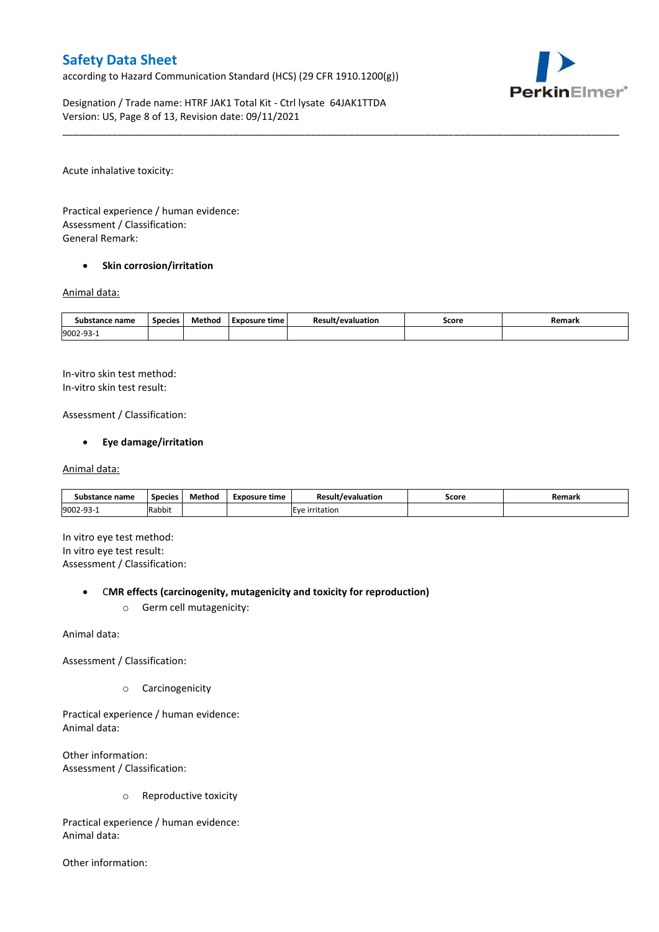according to Hazard Communication Standard (HCS) (29 CFR 1910.1200(g))



Designation / Trade name: HTRF JAK1 Total Kit - Ctrl lysate 64JAK1TTDA Version: US, Page 8 of 13, Revision date: 09/11/2021

Acute inhalative toxicity:

Practical experience / human evidence: Assessment / Classification: General Remark:

### **•** Skin corrosion/irritation

#### Animal data:

| Substance name   | <b>Species</b> | Method | Exposure time | <b>Result/evaluation</b> | Score | Remark |
|------------------|----------------|--------|---------------|--------------------------|-------|--------|
| 9002-93-<br>JJ - |                |        |               |                          |       |        |

\_\_\_\_\_\_\_\_\_\_\_\_\_\_\_\_\_\_\_\_\_\_\_\_\_\_\_\_\_\_\_\_\_\_\_\_\_\_\_\_\_\_\_\_\_\_\_\_\_\_\_\_\_\_\_\_\_\_\_\_\_\_\_\_\_\_\_\_\_\_\_\_\_\_\_\_\_\_\_\_\_\_\_\_\_\_\_\_\_\_\_\_\_\_\_\_\_\_\_\_\_

In-vitro skin test method: In-vitro skin test result:

Assessment / Classification:

### **Eye damage/irritation**

#### Animal data:

| Substance name   | <b>Species</b> | Method | Exposure time | <b>Result/evaluation</b> | Score | Remark |
|------------------|----------------|--------|---------------|--------------------------|-------|--------|
| 9002-93-<br>⊥−∟ت | Rabbit         |        |               | <b>IEve irritation</b>   |       |        |

In vitro eye test method: In vitro eye test result: Assessment / Classification:

#### C**MR effects (carcinogenity, mutagenicity and toxicity for reproduction)**

o Germ cell mutagenicity:

Animal data:

Assessment / Classification:

o Carcinogenicity

Practical experience / human evidence: Animal data:

Other information: Assessment / Classification:

o Reproductive toxicity

Practical experience / human evidence: Animal data:

Other information: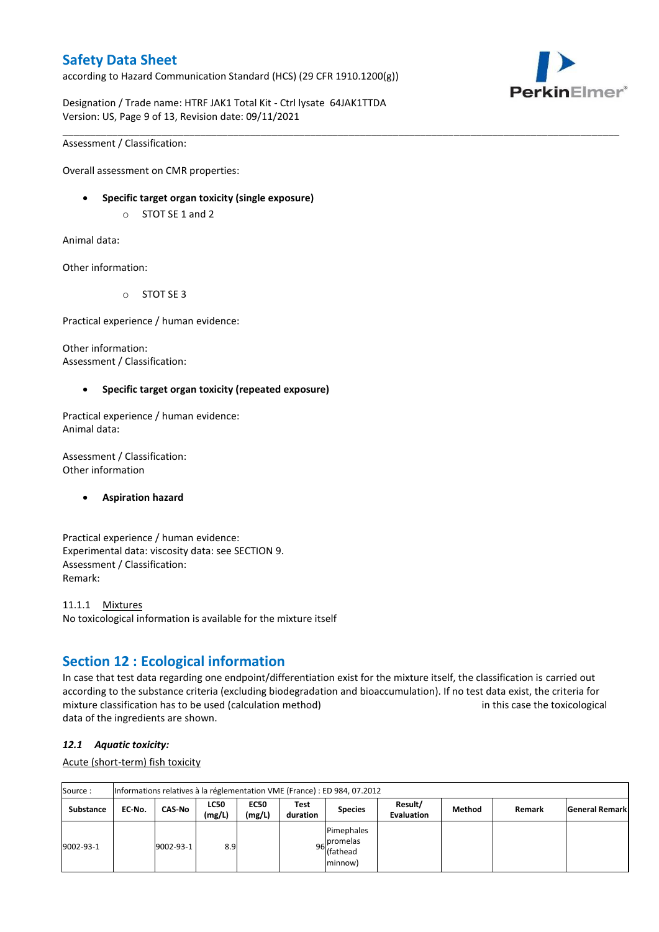according to Hazard Communication Standard (HCS) (29 CFR 1910.1200(g))



Designation / Trade name: HTRF JAK1 Total Kit - Ctrl lysate 64JAK1TTDA Version: US, Page 9 of 13, Revision date: 09/11/2021

Assessment / Classification:

Overall assessment on CMR properties:

- **Specific target organ toxicity (single exposure)**
	- o STOT SE 1 and 2

Animal data:

Other information:

o STOT SE 3

Practical experience / human evidence:

Other information: Assessment / Classification:

### **Specific target organ toxicity (repeated exposure)**

Practical experience / human evidence: Animal data:

Assessment / Classification: Other information

### **Aspiration hazard**

Practical experience / human evidence: Experimental data: viscosity data: see SECTION 9. Assessment / Classification: Remark:

11.1.1 Mixtures No toxicological information is available for the mixture itself

# **Section 12 : Ecological information**

In case that test data regarding one endpoint/differentiation exist for the mixture itself, the classification is carried out according to the substance criteria (excluding biodegradation and bioaccumulation). If no test data exist, the criteria for mixture classification has to be used (calculation method) in this case the toxicological data of the ingredients are shown.

\_\_\_\_\_\_\_\_\_\_\_\_\_\_\_\_\_\_\_\_\_\_\_\_\_\_\_\_\_\_\_\_\_\_\_\_\_\_\_\_\_\_\_\_\_\_\_\_\_\_\_\_\_\_\_\_\_\_\_\_\_\_\_\_\_\_\_\_\_\_\_\_\_\_\_\_\_\_\_\_\_\_\_\_\_\_\_\_\_\_\_\_\_\_\_\_\_\_\_\_\_

### *12.1 Aquatic toxicity:*

Acute (short-term) fish toxicity

| Source:          |        | Informations relatives à la réglementation VME (France) : ED 984, 07.2012 |                       |                       |                  |                                                               |                              |        |        |                       |  |  |
|------------------|--------|---------------------------------------------------------------------------|-----------------------|-----------------------|------------------|---------------------------------------------------------------|------------------------------|--------|--------|-----------------------|--|--|
| <b>Substance</b> | EC No. | <b>CAS-No</b>                                                             | <b>LC50</b><br>(mg/L) | <b>EC50</b><br>(mg/L) | Test<br>duration | <b>Species</b>                                                | Result/<br><b>Evaluation</b> | Method | Remark | <b>General Remark</b> |  |  |
| 9002-93-1        |        | 9002-93-1                                                                 | 8.9                   |                       |                  | Pimephales<br>. Ipromelas<br>96 riving<br>(fathead<br>minnow) |                              |        |        |                       |  |  |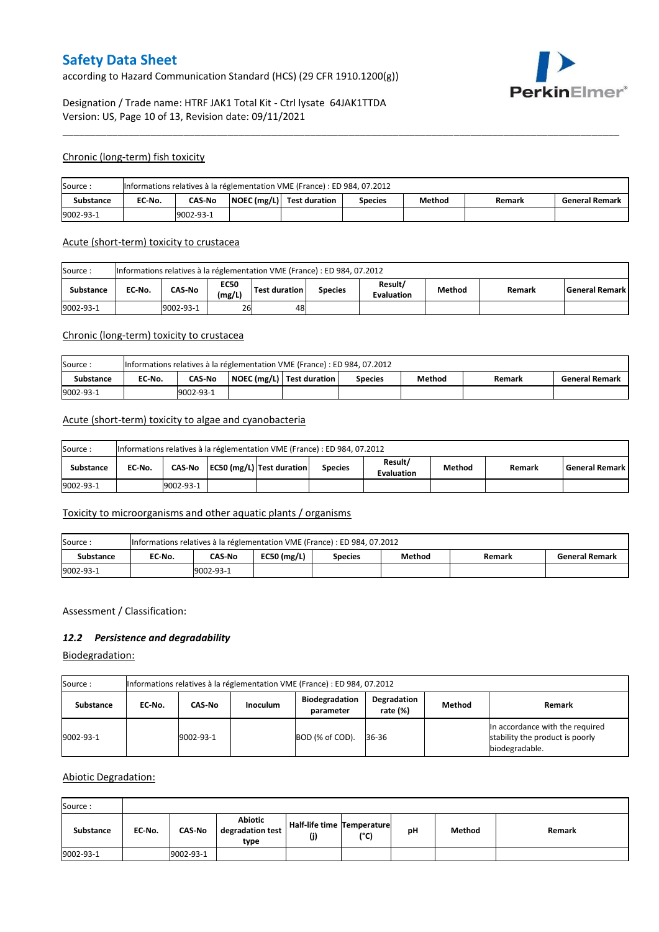according to Hazard Communication Standard (HCS) (29 CFR 1910.1200(g))



### Designation / Trade name: HTRF JAK1 Total Kit - Ctrl lysate 64JAK1TTDA Version: US, Page 10 of 13, Revision date: 09/11/2021

#### Chronic (long-term) fish toxicity

| Source:          | Informations relatives à la réglementation VME (France) : ED 984, 07.2012 |                                                                                                                    |  |  |  |  |  |  |  |  |  |
|------------------|---------------------------------------------------------------------------|--------------------------------------------------------------------------------------------------------------------|--|--|--|--|--|--|--|--|--|
| <b>Substance</b> | EC No.                                                                    | $\vert$ NOEC (mg/L) $\vert$ Test duration<br><b>CAS-No</b><br>Method<br><b>General Remark</b><br>Species<br>Remark |  |  |  |  |  |  |  |  |  |
| 9002-93-1        | 9002-93-1                                                                 |                                                                                                                    |  |  |  |  |  |  |  |  |  |

\_\_\_\_\_\_\_\_\_\_\_\_\_\_\_\_\_\_\_\_\_\_\_\_\_\_\_\_\_\_\_\_\_\_\_\_\_\_\_\_\_\_\_\_\_\_\_\_\_\_\_\_\_\_\_\_\_\_\_\_\_\_\_\_\_\_\_\_\_\_\_\_\_\_\_\_\_\_\_\_\_\_\_\_\_\_\_\_\_\_\_\_\_\_\_\_\_\_\_\_\_

#### Acute (short-term) toxicity to crustacea

| Informations relatives à la réglementation VME (France) : ED 984, 07.2012<br>Source: |                                                                                                                                                 |           |    |    |  |  |  |  |  |  |  |
|--------------------------------------------------------------------------------------|-------------------------------------------------------------------------------------------------------------------------------------------------|-----------|----|----|--|--|--|--|--|--|--|
| <b>Substance</b>                                                                     | Result/<br><b>EC50</b><br>CAS-No<br>Test duration<br>EC No.<br>Method<br>l General Remark l<br><b>Species</b><br>Remark<br>(mg/L)<br>Evaluation |           |    |    |  |  |  |  |  |  |  |
| 9002-93-1                                                                            |                                                                                                                                                 | 9002-93-1 | 26 | 48 |  |  |  |  |  |  |  |

### Chronic (long-term) toxicity to crustacea

| Source:   | Informations relatives à la réglementation VME (France) : ED 984, 07.2012                                             |  |  |  |  |  |  |  |  |  |  |
|-----------|-----------------------------------------------------------------------------------------------------------------------|--|--|--|--|--|--|--|--|--|--|
| Substance | NOEC (mg/L)   Test duration<br>Method<br>EC-No.<br><b>CAS-No</b><br><b>General Remark</b><br><b>Species</b><br>Remark |  |  |  |  |  |  |  |  |  |  |
| 9002-93-1 | 9002-93-1                                                                                                             |  |  |  |  |  |  |  |  |  |  |

### Acute (short-term) toxicity to algae and cyanobacteria

| Informations relatives à la réglementation VME (France) : ED 984, 07.2012<br>Source: |        |                                                                                                                          |  |  |  |  |  |  |  |  |  |
|--------------------------------------------------------------------------------------|--------|--------------------------------------------------------------------------------------------------------------------------|--|--|--|--|--|--|--|--|--|
| Substance                                                                            | EC No. | Result/<br>EC50 (mg/L) Test duration<br>CAS-No<br>Method<br>l General Remark I<br><b>Species</b><br>Remark<br>Evaluation |  |  |  |  |  |  |  |  |  |
| 9002-93-1                                                                            |        | 9002-93-1                                                                                                                |  |  |  |  |  |  |  |  |  |

### Toxicity to microorganisms and other aquatic plants / organisms

| Source:   | Informations relatives à la réglementation VME (France) : ED 984, 07.2012                        |  |  |  |  |  |  |  |  |  |  |
|-----------|--------------------------------------------------------------------------------------------------|--|--|--|--|--|--|--|--|--|--|
| Substance | $EC50$ (mg/L)<br>CAS-No<br>EC-No.<br>Method<br><b>General Remark</b><br>Remark<br><b>Species</b> |  |  |  |  |  |  |  |  |  |  |
| 9002-93-1 | 19002-93-1                                                                                       |  |  |  |  |  |  |  |  |  |  |

### Assessment / Classification:

### *12.2 Persistence and degradability*

Biodegradation:

| Source :         | Informations relatives à la réglementation VME (France) : ED 984, 07.2012                                      |           |  |                 |       |  |                                                                                      |  |  |  |  |
|------------------|----------------------------------------------------------------------------------------------------------------|-----------|--|-----------------|-------|--|--------------------------------------------------------------------------------------|--|--|--|--|
| <b>Substance</b> | Degradation<br><b>Biodegradation</b><br>Method<br>CAS-No<br><b>Inoculum</b><br>EC No.<br>rate (%)<br>parameter |           |  |                 |       |  | Remark                                                                               |  |  |  |  |
| 9002-93-1        |                                                                                                                | 9002-93-1 |  | BOD (% of COD). | 36-36 |  | In accordance with the required<br>stability the product is poorly<br>biodegradable. |  |  |  |  |

#### Abiotic Degradation:

| Source:   |        |               |                                            |                                      |               |    |        |        |  |  |  |
|-----------|--------|---------------|--------------------------------------------|--------------------------------------|---------------|----|--------|--------|--|--|--|
| Substance | EC-No. | <b>CAS-No</b> | <b>Abiotic</b><br>degradation test<br>type | Half-life time   Temperature <br>(j) | $(^{\circ}C)$ | рH | Method | Remark |  |  |  |
| 9002-93-1 |        | 9002-93-1     |                                            |                                      |               |    |        |        |  |  |  |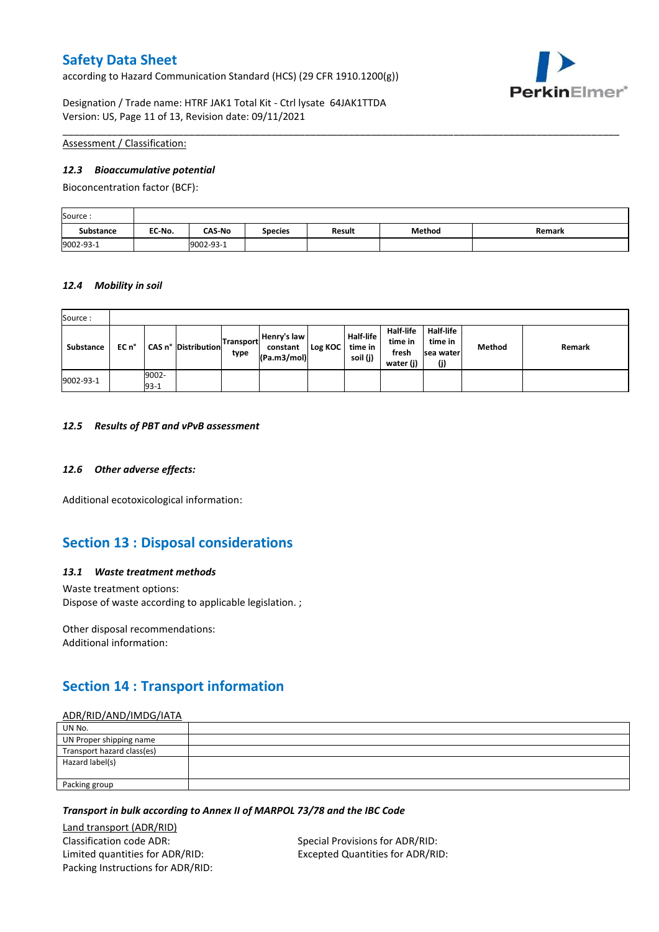according to Hazard Communication Standard (HCS) (29 CFR 1910.1200(g))



Designation / Trade name: HTRF JAK1 Total Kit - Ctrl lysate 64JAK1TTDA Version: US, Page 11 of 13, Revision date: 09/11/2021

### Assessment / Classification:

#### *12.3 Bioaccumulative potential*

Bioconcentration factor (BCF):

| Source:   |        |               |                |               |        |        |
|-----------|--------|---------------|----------------|---------------|--------|--------|
| Substance | EC No. | <b>CAS-No</b> | <b>Species</b> | <b>Result</b> | Method | Remark |
| 9002-93-1 |        | 9002-93-1     |                |               |        |        |

\_\_\_\_\_\_\_\_\_\_\_\_\_\_\_\_\_\_\_\_\_\_\_\_\_\_\_\_\_\_\_\_\_\_\_\_\_\_\_\_\_\_\_\_\_\_\_\_\_\_\_\_\_\_\_\_\_\_\_\_\_\_\_\_\_\_\_\_\_\_\_\_\_\_\_\_\_\_\_\_\_\_\_\_\_\_\_\_\_\_\_\_\_\_\_\_\_\_\_\_\_

#### *12.4 Mobility in soil*

| Source:   |       |                 |                     |                   |                                        |         |                                         |                                                   |                                           |        |        |
|-----------|-------|-----------------|---------------------|-------------------|----------------------------------------|---------|-----------------------------------------|---------------------------------------------------|-------------------------------------------|--------|--------|
| Substance | EC n° |                 | CAS n° Distribution | Transport<br>type | Henry's law<br>constant<br>(Pa.m3/mol) | Log KOC | <b>Half-life</b><br>time in<br>soil (j) | <b>Half-life</b><br>time in<br>fresh<br>water (j) | Half-life<br>time in<br>Isea water<br>(j) | Method | Remark |
| 9002-93-1 |       | 9002-<br>$93-1$ |                     |                   |                                        |         |                                         |                                                   |                                           |        |        |

#### *12.5 Results of PBT and vPvB assessment*

### *12.6 Other adverse effects:*

Additional ecotoxicological information:

# **Section 13 : Disposal considerations**

### *13.1 Waste treatment methods*

Waste treatment options: Dispose of waste according to applicable legislation. ;

Other disposal recommendations: Additional information:

# **Section 14 : Transport information**

### ADR/RID/AND/IMDG/IATA

| UN No.                     |  |
|----------------------------|--|
| UN Proper shipping name    |  |
| Transport hazard class(es) |  |
| Hazard label(s)            |  |
|                            |  |
| Packing group              |  |

### *Transport in bulk according to Annex II of MARPOL 73/78 and the IBC Code*

Land transport (ADR/RID) Classification code ADR: Special Provisions for ADR/RID: Limited quantities for ADR/RID: Excepted Quantities for ADR/RID: Packing Instructions for ADR/RID: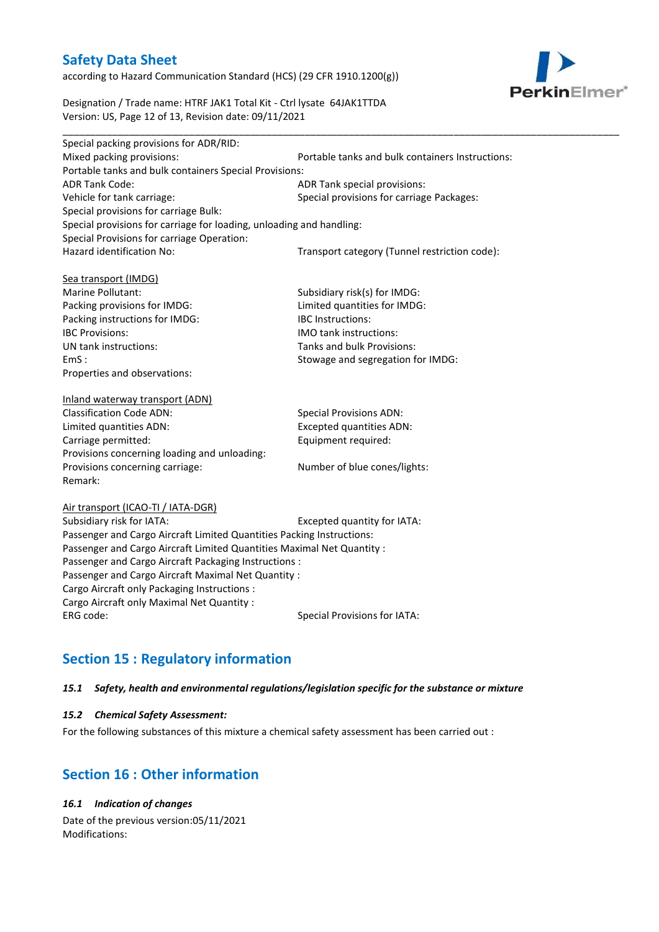according to Hazard Communication Standard (HCS) (29 CFR 1910.1200(g))



Designation / Trade name: HTRF JAK1 Total Kit - Ctrl lysate 64JAK1TTDA Version: US, Page 12 of 13, Revision date: 09/11/2021

| Special packing provisions for ADR/RID:                              |                                                  |  |  |
|----------------------------------------------------------------------|--------------------------------------------------|--|--|
| Mixed packing provisions:                                            | Portable tanks and bulk containers Instructions: |  |  |
| Portable tanks and bulk containers Special Provisions:               |                                                  |  |  |
| <b>ADR Tank Code:</b>                                                | ADR Tank special provisions:                     |  |  |
| Vehicle for tank carriage:                                           | Special provisions for carriage Packages:        |  |  |
| Special provisions for carriage Bulk:                                |                                                  |  |  |
| Special provisions for carriage for loading, unloading and handling: |                                                  |  |  |
| Special Provisions for carriage Operation:                           |                                                  |  |  |
| Hazard identification No:                                            | Transport category (Tunnel restriction code):    |  |  |
|                                                                      |                                                  |  |  |
| Sea transport (IMDG)                                                 |                                                  |  |  |
| Marine Pollutant:                                                    | Subsidiary risk(s) for IMDG:                     |  |  |
| Packing provisions for IMDG:                                         | Limited quantities for IMDG:                     |  |  |
| Packing instructions for IMDG:                                       | <b>IBC</b> Instructions:                         |  |  |
| <b>IBC Provisions:</b>                                               | <b>IMO tank instructions:</b>                    |  |  |
| UN tank instructions:                                                | Tanks and bulk Provisions:                       |  |  |
| EmS:                                                                 | Stowage and segregation for IMDG:                |  |  |
| Properties and observations:                                         |                                                  |  |  |
| <b>Inland waterway transport (ADN)</b>                               |                                                  |  |  |
| <b>Classification Code ADN:</b>                                      | Special Provisions ADN:                          |  |  |
| Limited quantities ADN:                                              | <b>Excepted quantities ADN:</b>                  |  |  |
| Carriage permitted:                                                  | Equipment required:                              |  |  |
| Provisions concerning loading and unloading:                         |                                                  |  |  |
|                                                                      |                                                  |  |  |

Air transport (ICAO-TI / IATA-DGR)

Remark:

Subsidiary risk for IATA: Excepted quantity for IATA: Passenger and Cargo Aircraft Limited Quantities Packing Instructions: Passenger and Cargo Aircraft Limited Quantities Maximal Net Quantity : Passenger and Cargo Aircraft Packaging Instructions : Passenger and Cargo Aircraft Maximal Net Quantity : Cargo Aircraft only Packaging Instructions : Cargo Aircraft only Maximal Net Quantity : ERG code: Special Provisions for IATA:

Provisions concerning carriage: Number of blue cones/lights:

# **Section 15 : Regulatory information**

### *15.1 Safety, health and environmental regulations/legislation specific for the substance or mixture*

### *15.2 Chemical Safety Assessment:*

For the following substances of this mixture a chemical safety assessment has been carried out :

# **Section 16 : Other information**

### *16.1 Indication of changes*

Date of the previous version:05/11/2021 Modifications: